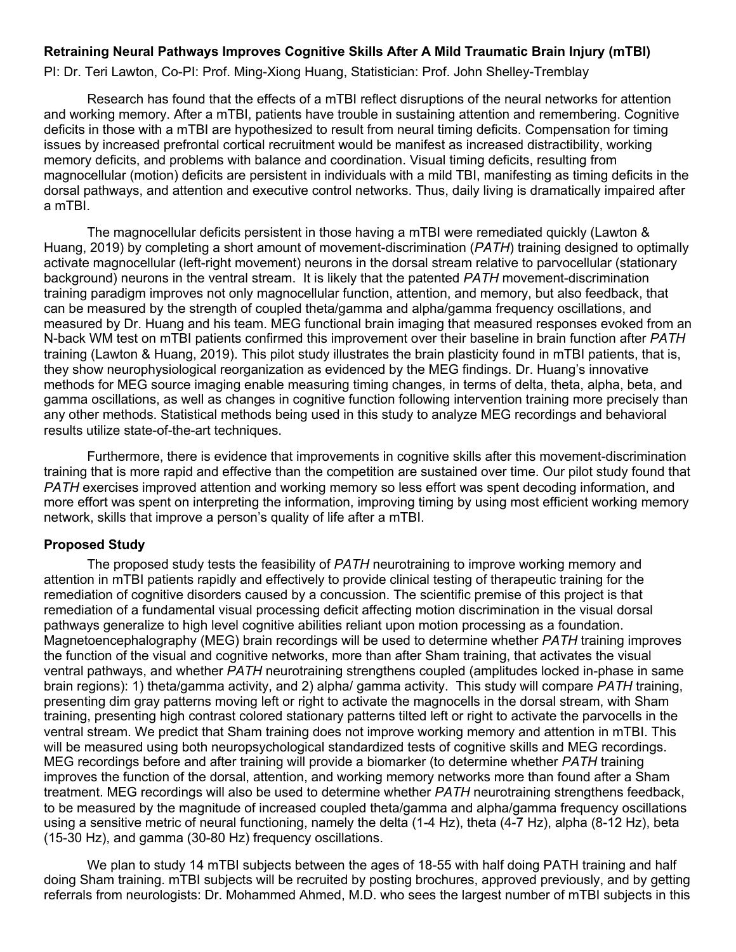### **Retraining Neural Pathways Improves Cognitive Skills After A Mild Traumatic Brain Injury (mTBI)**

PI: Dr. Teri Lawton, Co-PI: Prof. Ming-Xiong Huang, Statistician: Prof. John Shelley-Tremblay

Research has found that the effects of a mTBI reflect disruptions of the neural networks for attention and working memory. After a mTBI, patients have trouble in sustaining attention and remembering. Cognitive deficits in those with a mTBI are hypothesized to result from neural timing deficits. Compensation for timing issues by increased prefrontal cortical recruitment would be manifest as increased distractibility, working memory deficits, and problems with balance and coordination. Visual timing deficits, resulting from magnocellular (motion) deficits are persistent in individuals with a mild TBI, manifesting as timing deficits in the dorsal pathways, and attention and executive control networks. Thus, daily living is dramatically impaired after a mTBI.

The magnocellular deficits persistent in those having a mTBI were remediated quickly (Lawton & Huang, 2019) by completing a short amount of movement-discrimination (*PATH*) training designed to optimally activate magnocellular (left-right movement) neurons in the dorsal stream relative to parvocellular (stationary background) neurons in the ventral stream. It is likely that the patented *PATH* movement-discrimination training paradigm improves not only magnocellular function, attention, and memory, but also feedback, that can be measured by the strength of coupled theta/gamma and alpha/gamma frequency oscillations, and measured by Dr. Huang and his team. MEG functional brain imaging that measured responses evoked from an N-back WM test on mTBI patients confirmed this improvement over their baseline in brain function after *PATH* training (Lawton & Huang, 2019). This pilot study illustrates the brain plasticity found in mTBI patients, that is, they show neurophysiological reorganization as evidenced by the MEG findings. Dr. Huang's innovative methods for MEG source imaging enable measuring timing changes, in terms of delta, theta, alpha, beta, and gamma oscillations, as well as changes in cognitive function following intervention training more precisely than any other methods. Statistical methods being used in this study to analyze MEG recordings and behavioral results utilize state-of-the-art techniques.

Furthermore, there is evidence that improvements in cognitive skills after this movement-discrimination training that is more rapid and effective than the competition are sustained over time. Our pilot study found that *PATH* exercises improved attention and working memory so less effort was spent decoding information, and more effort was spent on interpreting the information, improving timing by using most efficient working memory network, skills that improve a person's quality of life after a mTBI.

#### **Proposed Study**

The proposed study tests the feasibility of *PATH* neurotraining to improve working memory and attention in mTBI patients rapidly and effectively to provide clinical testing of therapeutic training for the remediation of cognitive disorders caused by a concussion. The scientific premise of this project is that remediation of a fundamental visual processing deficit affecting motion discrimination in the visual dorsal pathways generalize to high level cognitive abilities reliant upon motion processing as a foundation. Magnetoencephalography (MEG) brain recordings will be used to determine whether *PATH* training improves the function of the visual and cognitive networks, more than after Sham training, that activates the visual ventral pathways, and whether *PATH* neurotraining strengthens coupled (amplitudes locked in-phase in same brain regions): 1) theta/gamma activity, and 2) alpha/ gamma activity. This study will compare *PATH* training, presenting dim gray patterns moving left or right to activate the magnocells in the dorsal stream, with Sham training, presenting high contrast colored stationary patterns tilted left or right to activate the parvocells in the ventral stream. We predict that Sham training does not improve working memory and attention in mTBI. This will be measured using both neuropsychological standardized tests of cognitive skills and MEG recordings. MEG recordings before and after training will provide a biomarker (to determine whether *PATH* training improves the function of the dorsal, attention, and working memory networks more than found after a Sham treatment. MEG recordings will also be used to determine whether *PATH* neurotraining strengthens feedback, to be measured by the magnitude of increased coupled theta/gamma and alpha/gamma frequency oscillations using a sensitive metric of neural functioning, namely the delta (1-4 Hz), theta (4-7 Hz), alpha (8-12 Hz), beta (15-30 Hz), and gamma (30-80 Hz) frequency oscillations.

We plan to study 14 mTBI subjects between the ages of 18-55 with half doing PATH training and half doing Sham training. mTBI subjects will be recruited by posting brochures, approved previously, and by getting referrals from neurologists: Dr. Mohammed Ahmed, M.D. who sees the largest number of mTBI subjects in this